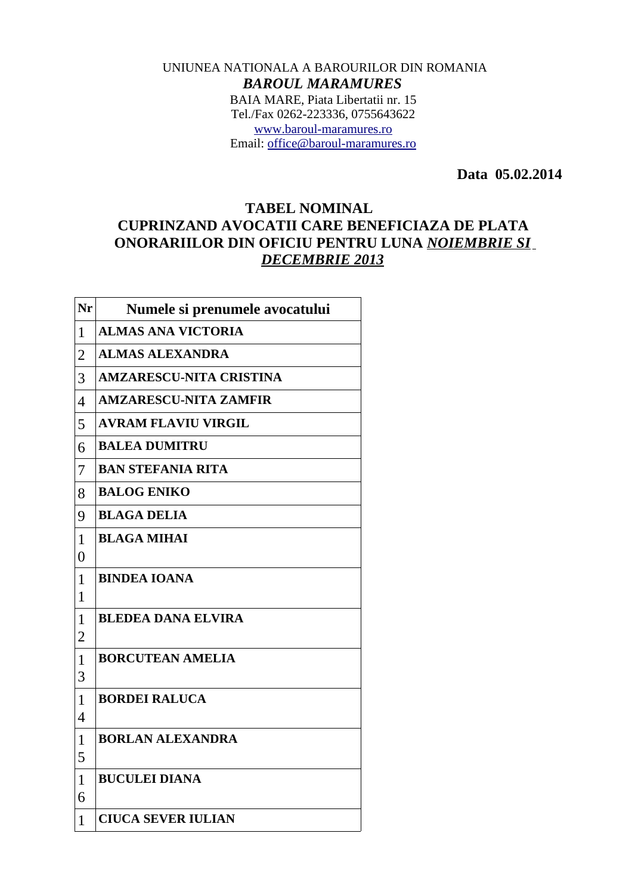## UNIUNEA NATIONALA A BAROURILOR DIN ROMANIA *BAROUL MARAMURES* BAIA MARE, Piata Libertatii nr. 15 Tel./Fax 0262-223336, 0755643622 [www.baroul-maramures.ro](http://www.baroul-maramures.ro/) Email: [office@baroul-maramures.ro](mailto:office@baroul-maramures.ro)

 **Data 05.02.2014**

## **TABEL NOMINAL CUPRINZAND AVOCATII CARE BENEFICIAZA DE PLATA ONORARIILOR DIN OFICIU PENTRU LUNA** *NOIEMBRIE SI DECEMBRIE 2013*

| Nr                             | Numele si prenumele avocatului |
|--------------------------------|--------------------------------|
| $\mathbf{1}$                   | <b>ALMAS ANA VICTORIA</b>      |
| $\overline{2}$                 | <b>ALMAS ALEXANDRA</b>         |
| 3                              | <b>AMZARESCU-NITA CRISTINA</b> |
| $\overline{4}$                 | <b>AMZARESCU-NITA ZAMFIR</b>   |
| 5                              | <b>AVRAM FLAVIU VIRGIL</b>     |
| 6                              | <b>BALEA DUMITRU</b>           |
| 7                              | <b>BAN STEFANIA RITA</b>       |
| 8                              | <b>BALOG ENIKO</b>             |
| 9                              | <b>BLAGA DELIA</b>             |
| $\mathbf{1}$                   | <b>BLAGA MIHAI</b>             |
| $\overline{0}$                 |                                |
| $\mathbf{1}$                   | <b>BINDEA IOANA</b>            |
| $\overline{1}$                 |                                |
| $\mathbf{1}$<br>$\overline{2}$ | <b>BLEDEA DANA ELVIRA</b>      |
| $\overline{1}$                 | <b>BORCUTEAN AMELIA</b>        |
| 3                              |                                |
| $\mathbf{1}$                   | <b>BORDEI RALUCA</b>           |
| $\overline{4}$                 |                                |
| $\mathbf{1}$                   | <b>BORLAN ALEXANDRA</b>        |
| 5                              |                                |
| $\mathbf{1}$                   | <b>BUCULEI DIANA</b>           |
| 6                              |                                |
| $\mathbf{1}$                   | <b>CIUCA SEVER IULIAN</b>      |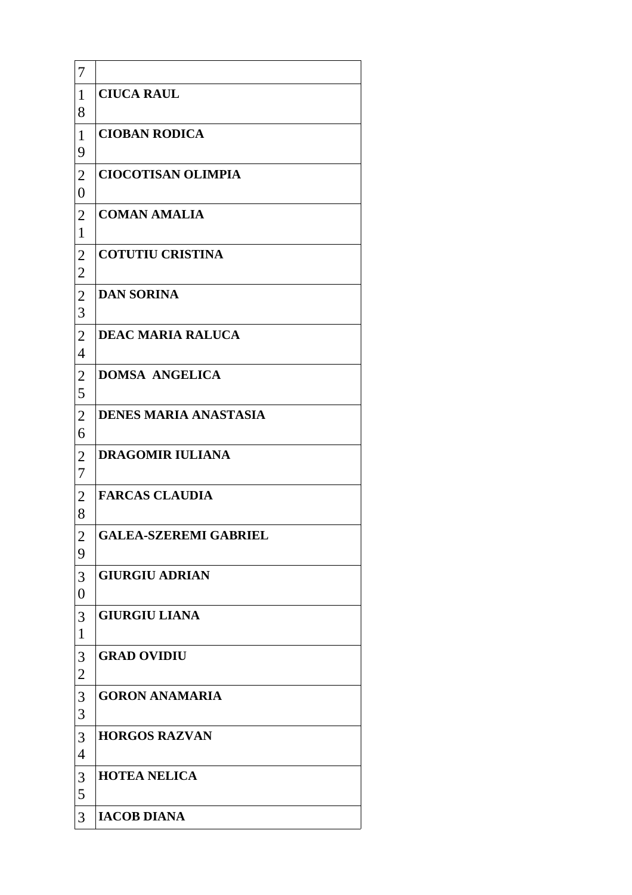| 7                                          |                              |
|--------------------------------------------|------------------------------|
| $\mathbf{1}$<br>8                          | <b>CIUCA RAUL</b>            |
| $\mathbf{1}$<br>9                          | <b>CIOBAN RODICA</b>         |
| $\overline{2}$<br>$\boldsymbol{0}$         | <b>CIOCOTISAN OLIMPIA</b>    |
| $\overline{2}$<br>$\mathbf{1}$             | <b>COMAN AMALIA</b>          |
| $\overline{2}$<br>$\overline{2}$           | <b>COTUTIU CRISTINA</b>      |
| $\overline{2}$<br>3                        | <b>DAN SORINA</b>            |
| $\overline{2}$<br>$\overline{\mathcal{A}}$ | <b>DEAC MARIA RALUCA</b>     |
| $\overline{2}$<br>5                        | <b>DOMSA ANGELICA</b>        |
| $\overline{2}$<br>6                        | <b>DENES MARIA ANASTASIA</b> |
| $\overline{2}$<br>$\boldsymbol{7}$         | <b>DRAGOMIR IULIANA</b>      |
| $\overline{2}$<br>8                        | <b>FARCAS CLAUDIA</b>        |
| $\overline{2}$<br>9                        | <b>GALEA-SZEREMI GABRIEL</b> |
| 3<br>$\boldsymbol{0}$                      | <b>GIURGIU ADRIAN</b>        |
| 3<br>$\mathbf{1}$                          | <b>GIURGIU LIANA</b>         |
| 3<br>2                                     | <b>GRAD OVIDIU</b>           |
| 3<br>3                                     | <b>GORON ANAMARIA</b>        |
| 3<br>$\overline{4}$                        | <b>HORGOS RAZVAN</b>         |
| 3<br>5                                     | <b>HOTEA NELICA</b>          |
| 3                                          | <b>IACOB DIANA</b>           |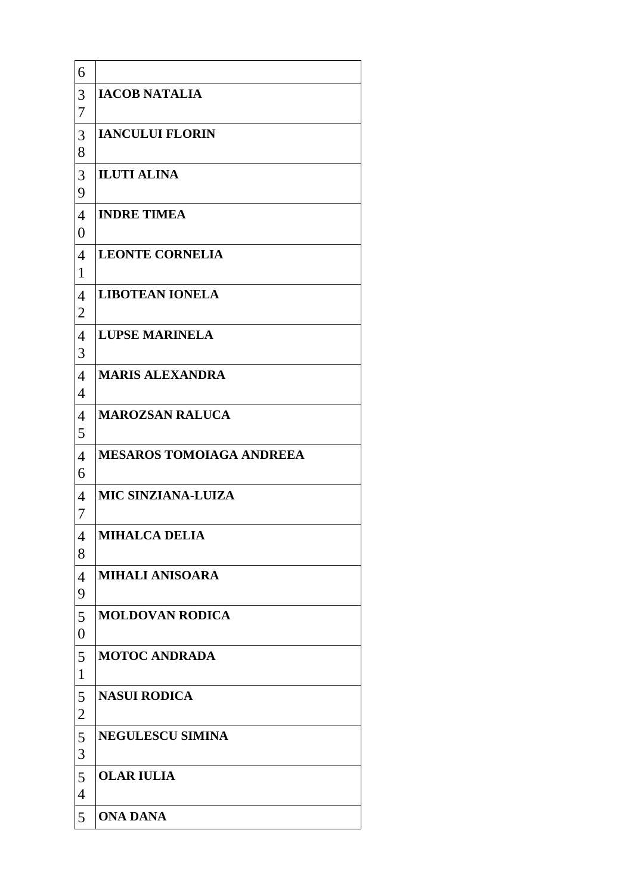| 6                                  |                                 |
|------------------------------------|---------------------------------|
| 3<br>7                             | <b>IACOB NATALIA</b>            |
| 3<br>8                             | <b>IANCULUI FLORIN</b>          |
| 3<br>9                             | <b>ILUTI ALINA</b>              |
| $\overline{4}$<br>$\boldsymbol{0}$ | <b>INDRE TIMEA</b>              |
| $\overline{4}$<br>$\mathbf{1}$     | <b>LEONTE CORNELIA</b>          |
| $\overline{4}$<br>$\overline{2}$   | <b>LIBOTEAN IONELA</b>          |
| $\overline{4}$<br>3                | <b>LUPSE MARINELA</b>           |
| $\overline{4}$<br>$\overline{4}$   | <b>MARIS ALEXANDRA</b>          |
| $\overline{4}$<br>5                | <b>MAROZSAN RALUCA</b>          |
| $\overline{4}$<br>6                | <b>MESAROS TOMOIAGA ANDREEA</b> |
| $\overline{4}$<br>7                | <b>MIC SINZIANA-LUIZA</b>       |
| $\overline{4}$<br>8                | <b>MIHALCA DELIA</b>            |
| $\overline{4}$<br>9                | <b>MIHALI ANISOARA</b>          |
| 5<br>$\boldsymbol{0}$              | <b>MOLDOVAN RODICA</b>          |
| 5<br>$\mathbf{1}$                  | <b>MOTOC ANDRADA</b>            |
| 5<br>$\overline{\mathbf{c}}$       | <b>NASUI RODICA</b>             |
| 5<br>3                             | <b>NEGULESCU SIMINA</b>         |
| 5<br>$\overline{4}$                | <b>OLAR IULIA</b>               |
| 5                                  | <b>ONA DANA</b>                 |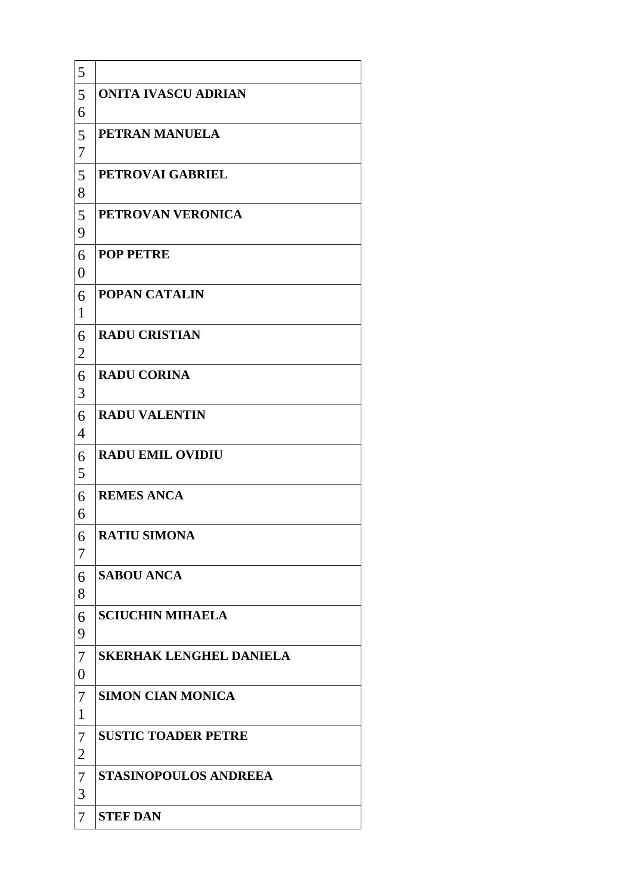| 5                              |                                |
|--------------------------------|--------------------------------|
| 5<br>6                         | <b>ONITA IVASCU ADRIAN</b>     |
| 5<br>7                         | PETRAN MANUELA                 |
| 5<br>8                         | PETROVAI GABRIEL               |
| 5<br>9                         | PETROVAN VERONICA              |
| 6<br>$\boldsymbol{0}$          | <b>POP PETRE</b>               |
| 6<br>$\mathbf{1}$              | <b>POPAN CATALIN</b>           |
| 6<br>$\overline{2}$            | <b>RADU CRISTIAN</b>           |
| 6<br>3                         | <b>RADU CORINA</b>             |
| 6<br>$\overline{\mathcal{A}}$  | <b>RADU VALENTIN</b>           |
| 6<br>5                         | <b>RADU EMIL OVIDIU</b>        |
| 6<br>6                         | <b>REMES ANCA</b>              |
| 6<br>7                         | <b>RATIU SIMONA</b>            |
| 6<br>8                         | <b>SABOU ANCA</b>              |
| 6<br>9                         | <b>SCIUCHIN MIHAELA</b>        |
| 7<br>$\boldsymbol{0}$          | <b>SKERHAK LENGHEL DANIELA</b> |
| $\overline{7}$<br>$\mathbf{1}$ | <b>SIMON CIAN MONICA</b>       |
| 7<br>2                         | <b>SUSTIC TOADER PETRE</b>     |
| $\overline{7}$<br>3            | <b>STASINOPOULOS ANDREEA</b>   |
| 7                              | <b>STEF DAN</b>                |